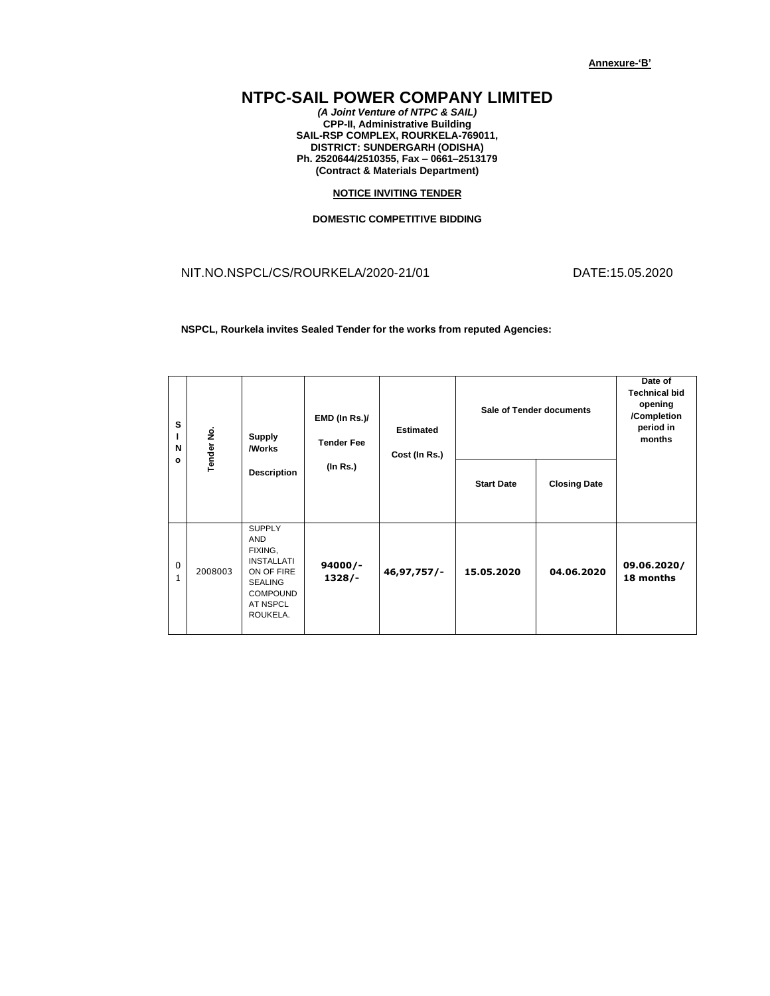## **NTPC-SAIL POWER COMPANY LIMITED**

*(A Joint Venture of NTPC & SAIL)* **CPP-II, Administrative Building SAIL-RSP COMPLEX, ROURKELA-769011, DISTRICT: SUNDERGARH (ODISHA) Ph. 2520644/2510355, Fax – 0661–2513179 (Contract & Materials Department)**

## **NOTICE INVITING TENDER**

## **DOMESTIC COMPETITIVE BIDDING**

NIT.NO.NSPCL/CS/ROURKELA/2020-21/01 DATE:15.05.2020

**NSPCL, Rourkela invites Sealed Tender for the works from reputed Agencies:**

| s<br>N<br>$\mathbf{o}$ | Tender No. | <b>Supply</b><br><b>Morks</b>                                                                                                                 | EMD (In Rs.)/<br><b>Tender Fee</b> | <b>Estimated</b><br>Cost (In Rs.) |                   | Sale of Tender documents | Date of<br><b>Technical bid</b><br>opening<br>/Completion<br>period in<br>months |
|------------------------|------------|-----------------------------------------------------------------------------------------------------------------------------------------------|------------------------------------|-----------------------------------|-------------------|--------------------------|----------------------------------------------------------------------------------|
|                        |            | <b>Description</b>                                                                                                                            | (In Rs.)                           |                                   | <b>Start Date</b> | <b>Closing Date</b>      |                                                                                  |
| 0<br>$\mathbf{1}$      | 2008003    | <b>SUPPLY</b><br><b>AND</b><br>FIXING,<br><b>INSTALLATI</b><br>ON OF FIRE<br><b>SEALING</b><br><b>COMPOUND</b><br><b>AT NSPCL</b><br>ROUKELA. | $94000/-$<br>$1328/-$              | $46, 97, 757/$ -                  | 15.05.2020        | 04.06.2020               | 09.06.2020/<br>18 months                                                         |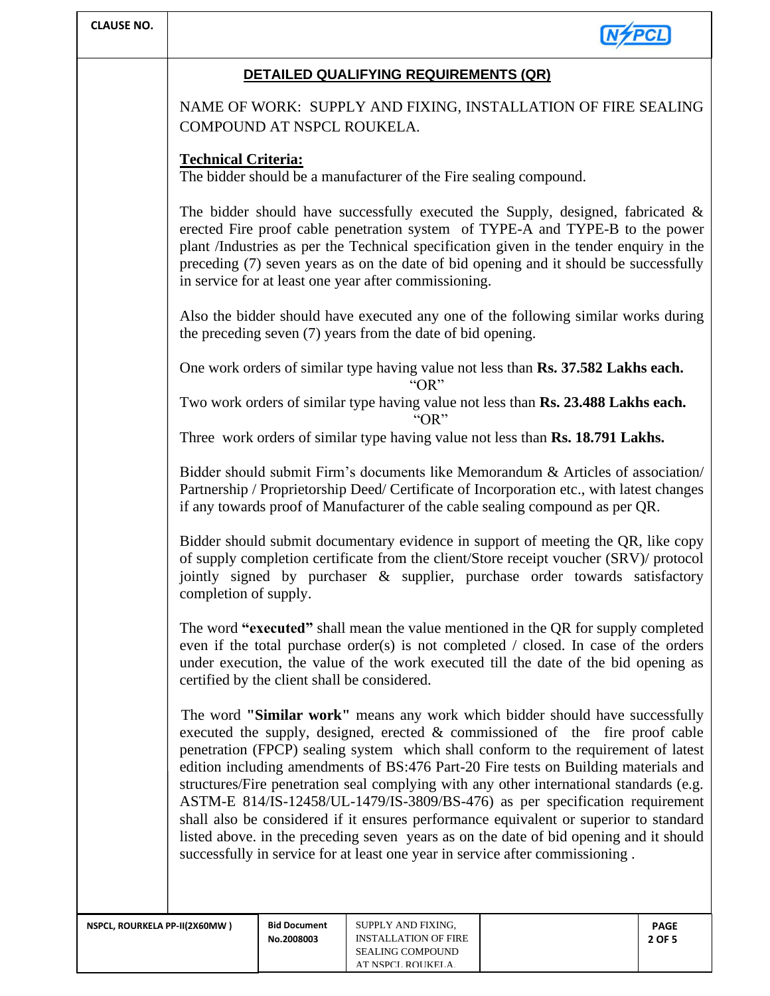| <b>CLAUSE NO.</b>             |                                                                                                                                                                                                                                                                                                                                                                                                                                                                                                                                                                                                                                                                                                                                                                                           |                                   |                                                                                                   |  |                       |  |  |  |
|-------------------------------|-------------------------------------------------------------------------------------------------------------------------------------------------------------------------------------------------------------------------------------------------------------------------------------------------------------------------------------------------------------------------------------------------------------------------------------------------------------------------------------------------------------------------------------------------------------------------------------------------------------------------------------------------------------------------------------------------------------------------------------------------------------------------------------------|-----------------------------------|---------------------------------------------------------------------------------------------------|--|-----------------------|--|--|--|
|                               | DETAILED QUALIFYING REQUIREMENTS (QR)                                                                                                                                                                                                                                                                                                                                                                                                                                                                                                                                                                                                                                                                                                                                                     |                                   |                                                                                                   |  |                       |  |  |  |
|                               | NAME OF WORK: SUPPLY AND FIXING, INSTALLATION OF FIRE SEALING<br>COMPOUND AT NSPCL ROUKELA.                                                                                                                                                                                                                                                                                                                                                                                                                                                                                                                                                                                                                                                                                               |                                   |                                                                                                   |  |                       |  |  |  |
|                               | <b>Technical Criteria:</b><br>The bidder should be a manufacturer of the Fire sealing compound.                                                                                                                                                                                                                                                                                                                                                                                                                                                                                                                                                                                                                                                                                           |                                   |                                                                                                   |  |                       |  |  |  |
|                               | The bidder should have successfully executed the Supply, designed, fabricated $\&$<br>erected Fire proof cable penetration system of TYPE-A and TYPE-B to the power<br>plant /Industries as per the Technical specification given in the tender enquiry in the<br>preceding (7) seven years as on the date of bid opening and it should be successfully<br>in service for at least one year after commissioning.                                                                                                                                                                                                                                                                                                                                                                          |                                   |                                                                                                   |  |                       |  |  |  |
|                               | Also the bidder should have executed any one of the following similar works during<br>the preceding seven (7) years from the date of bid opening.                                                                                                                                                                                                                                                                                                                                                                                                                                                                                                                                                                                                                                         |                                   |                                                                                                   |  |                       |  |  |  |
|                               | One work orders of similar type having value not less than Rs. 37.582 Lakhs each.<br>" $OR"$                                                                                                                                                                                                                                                                                                                                                                                                                                                                                                                                                                                                                                                                                              |                                   |                                                                                                   |  |                       |  |  |  |
|                               | Two work orders of similar type having value not less than Rs. 23.488 Lakhs each.<br>" $OR"$                                                                                                                                                                                                                                                                                                                                                                                                                                                                                                                                                                                                                                                                                              |                                   |                                                                                                   |  |                       |  |  |  |
|                               | Three work orders of similar type having value not less than Rs. 18.791 Lakhs.                                                                                                                                                                                                                                                                                                                                                                                                                                                                                                                                                                                                                                                                                                            |                                   |                                                                                                   |  |                       |  |  |  |
|                               | Bidder should submit Firm's documents like Memorandum & Articles of association/<br>Partnership / Proprietorship Deed/ Certificate of Incorporation etc., with latest changes<br>if any towards proof of Manufacturer of the cable sealing compound as per QR.                                                                                                                                                                                                                                                                                                                                                                                                                                                                                                                            |                                   |                                                                                                   |  |                       |  |  |  |
|                               | Bidder should submit documentary evidence in support of meeting the QR, like copy<br>of supply completion certificate from the client/Store receipt voucher (SRV)/ protocol<br>jointly signed by purchaser & supplier, purchase order towards satisfactory<br>completion of supply.                                                                                                                                                                                                                                                                                                                                                                                                                                                                                                       |                                   |                                                                                                   |  |                       |  |  |  |
|                               | The word "executed" shall mean the value mentioned in the QR for supply completed<br>even if the total purchase order(s) is not completed / closed. In case of the orders<br>under execution, the value of the work executed till the date of the bid opening as<br>certified by the client shall be considered.                                                                                                                                                                                                                                                                                                                                                                                                                                                                          |                                   |                                                                                                   |  |                       |  |  |  |
|                               | The word "Similar work" means any work which bidder should have successfully<br>executed the supply, designed, erected & commissioned of the fire proof cable<br>penetration (FPCP) sealing system which shall conform to the requirement of latest<br>edition including amendments of BS:476 Part-20 Fire tests on Building materials and<br>structures/Fire penetration seal complying with any other international standards (e.g.<br>ASTM-E 814/IS-12458/UL-1479/IS-3809/BS-476) as per specification requirement<br>shall also be considered if it ensures performance equivalent or superior to standard<br>listed above. in the preceding seven years as on the date of bid opening and it should<br>successfully in service for at least one year in service after commissioning. |                                   |                                                                                                   |  |                       |  |  |  |
| NSPCL, ROURKELA PP-II(2X60MW) |                                                                                                                                                                                                                                                                                                                                                                                                                                                                                                                                                                                                                                                                                                                                                                                           | <b>Bid Document</b><br>No.2008003 | SUPPLY AND FIXING,<br><b>INSTALLATION OF FIRE</b><br><b>SEALING COMPOUND</b><br>AT NSPCL ROUKELA. |  | <b>PAGE</b><br>2 OF 5 |  |  |  |

AT NSPCL ROUKELA.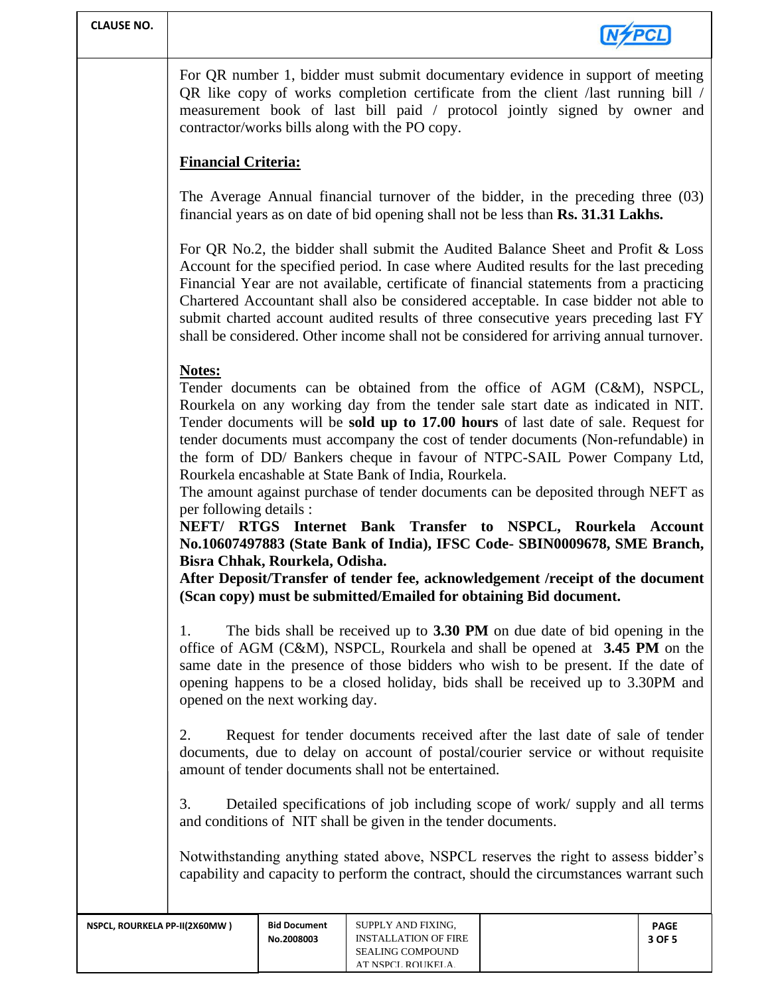| <b>CLAUSE NO.</b>                                                                                                                                  |                                                                                                                                                                                                                                                                                                                                                                                                                                                                                                                                                                                                                                                                                                                                                                                                                                                                                                                                        |                                                                                                                                                                                                                          |                                                                       |                                                                                                                                                                       |                       |  |
|----------------------------------------------------------------------------------------------------------------------------------------------------|----------------------------------------------------------------------------------------------------------------------------------------------------------------------------------------------------------------------------------------------------------------------------------------------------------------------------------------------------------------------------------------------------------------------------------------------------------------------------------------------------------------------------------------------------------------------------------------------------------------------------------------------------------------------------------------------------------------------------------------------------------------------------------------------------------------------------------------------------------------------------------------------------------------------------------------|--------------------------------------------------------------------------------------------------------------------------------------------------------------------------------------------------------------------------|-----------------------------------------------------------------------|-----------------------------------------------------------------------------------------------------------------------------------------------------------------------|-----------------------|--|
|                                                                                                                                                    | For QR number 1, bidder must submit documentary evidence in support of meeting<br>QR like copy of works completion certificate from the client /last running bill /<br>measurement book of last bill paid / protocol jointly signed by owner and<br>contractor/works bills along with the PO copy.                                                                                                                                                                                                                                                                                                                                                                                                                                                                                                                                                                                                                                     |                                                                                                                                                                                                                          |                                                                       |                                                                                                                                                                       |                       |  |
|                                                                                                                                                    | <b>Financial Criteria:</b>                                                                                                                                                                                                                                                                                                                                                                                                                                                                                                                                                                                                                                                                                                                                                                                                                                                                                                             |                                                                                                                                                                                                                          |                                                                       |                                                                                                                                                                       |                       |  |
|                                                                                                                                                    |                                                                                                                                                                                                                                                                                                                                                                                                                                                                                                                                                                                                                                                                                                                                                                                                                                                                                                                                        |                                                                                                                                                                                                                          |                                                                       | The Average Annual financial turnover of the bidder, in the preceding three (03)<br>financial years as on date of bid opening shall not be less than Rs. 31.31 Lakhs. |                       |  |
|                                                                                                                                                    | For QR No.2, the bidder shall submit the Audited Balance Sheet and Profit & Loss<br>Account for the specified period. In case where Audited results for the last preceding<br>Financial Year are not available, certificate of financial statements from a practicing<br>Chartered Accountant shall also be considered acceptable. In case bidder not able to<br>submit charted account audited results of three consecutive years preceding last FY<br>shall be considered. Other income shall not be considered for arriving annual turnover.                                                                                                                                                                                                                                                                                                                                                                                        |                                                                                                                                                                                                                          |                                                                       |                                                                                                                                                                       |                       |  |
|                                                                                                                                                    | Notes:<br>Tender documents can be obtained from the office of AGM (C&M), NSPCL,<br>Rourkela on any working day from the tender sale start date as indicated in NIT.<br>Tender documents will be sold up to 17.00 hours of last date of sale. Request for<br>tender documents must accompany the cost of tender documents (Non-refundable) in<br>the form of DD/ Bankers cheque in favour of NTPC-SAIL Power Company Ltd,<br>Rourkela encashable at State Bank of India, Rourkela.<br>The amount against purchase of tender documents can be deposited through NEFT as<br>per following details :<br>NEFT/ RTGS Internet Bank Transfer to NSPCL, Rourkela Account<br>No.10607497883 (State Bank of India), IFSC Code- SBIN0009678, SME Branch,<br>Bisra Chhak, Rourkela, Odisha.<br>After Deposit/Transfer of tender fee, acknowledgement /receipt of the document<br>(Scan copy) must be submitted/Emailed for obtaining Bid document. |                                                                                                                                                                                                                          |                                                                       |                                                                                                                                                                       |                       |  |
|                                                                                                                                                    | The bids shall be received up to 3.30 PM on due date of bid opening in the<br>1.<br>office of AGM (C&M), NSPCL, Rourkela and shall be opened at 3.45 PM on the<br>same date in the presence of those bidders who wish to be present. If the date of<br>opening happens to be a closed holiday, bids shall be received up to 3.30PM and<br>opened on the next working day.                                                                                                                                                                                                                                                                                                                                                                                                                                                                                                                                                              |                                                                                                                                                                                                                          |                                                                       |                                                                                                                                                                       |                       |  |
|                                                                                                                                                    | 2.                                                                                                                                                                                                                                                                                                                                                                                                                                                                                                                                                                                                                                                                                                                                                                                                                                                                                                                                     | Request for tender documents received after the last date of sale of tender<br>documents, due to delay on account of postal/courier service or without requisite<br>amount of tender documents shall not be entertained. |                                                                       |                                                                                                                                                                       |                       |  |
| 3.<br>Detailed specifications of job including scope of work/supply and all terms<br>and conditions of NIT shall be given in the tender documents. |                                                                                                                                                                                                                                                                                                                                                                                                                                                                                                                                                                                                                                                                                                                                                                                                                                                                                                                                        |                                                                                                                                                                                                                          |                                                                       |                                                                                                                                                                       |                       |  |
|                                                                                                                                                    | Notwithstanding anything stated above, NSPCL reserves the right to assess bidder's<br>capability and capacity to perform the contract, should the circumstances warrant such                                                                                                                                                                                                                                                                                                                                                                                                                                                                                                                                                                                                                                                                                                                                                           |                                                                                                                                                                                                                          |                                                                       |                                                                                                                                                                       |                       |  |
| NSPCL, ROURKELA PP-II(2X60MW)                                                                                                                      |                                                                                                                                                                                                                                                                                                                                                                                                                                                                                                                                                                                                                                                                                                                                                                                                                                                                                                                                        | <b>Bid Document</b><br>No.2008003                                                                                                                                                                                        | SUPPLY AND FIXING,<br><b>INSTALLATION OF FIRE</b><br>SEALING COMPOUND |                                                                                                                                                                       | <b>PAGE</b><br>3 OF 5 |  |

AT NSPCL ROUKELA.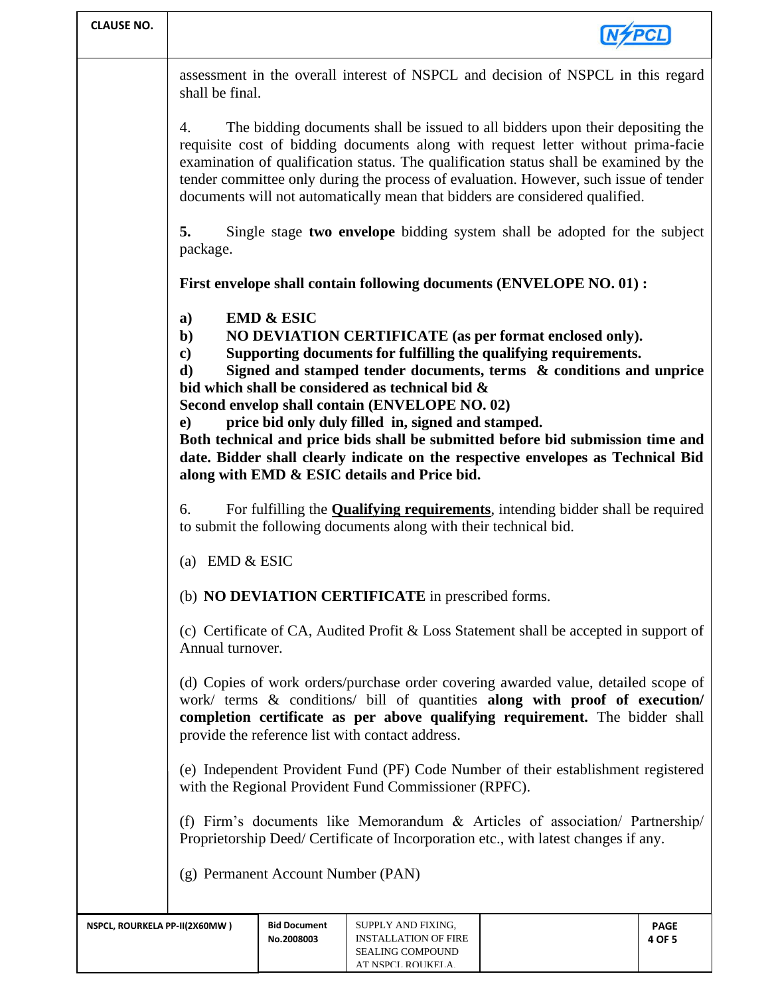| <b>CLAUSE NO.</b>                                                                                                                                                                                                                                                                                     |                                                                                                                                                                                                                                                                                                                                                                                                                                                                                                                                                                                                                                                                  |                                                                                                                                                             |                                                                              |                                                                                                                                                                     |                       |  |  |
|-------------------------------------------------------------------------------------------------------------------------------------------------------------------------------------------------------------------------------------------------------------------------------------------------------|------------------------------------------------------------------------------------------------------------------------------------------------------------------------------------------------------------------------------------------------------------------------------------------------------------------------------------------------------------------------------------------------------------------------------------------------------------------------------------------------------------------------------------------------------------------------------------------------------------------------------------------------------------------|-------------------------------------------------------------------------------------------------------------------------------------------------------------|------------------------------------------------------------------------------|---------------------------------------------------------------------------------------------------------------------------------------------------------------------|-----------------------|--|--|
|                                                                                                                                                                                                                                                                                                       | shall be final.                                                                                                                                                                                                                                                                                                                                                                                                                                                                                                                                                                                                                                                  |                                                                                                                                                             |                                                                              | assessment in the overall interest of NSPCL and decision of NSPCL in this regard                                                                                    |                       |  |  |
|                                                                                                                                                                                                                                                                                                       | The bidding documents shall be issued to all bidders upon their depositing the<br>4.<br>requisite cost of bidding documents along with request letter without prima-facie<br>examination of qualification status. The qualification status shall be examined by the<br>tender committee only during the process of evaluation. However, such issue of tender<br>documents will not automatically mean that bidders are considered qualified.                                                                                                                                                                                                                     |                                                                                                                                                             |                                                                              |                                                                                                                                                                     |                       |  |  |
|                                                                                                                                                                                                                                                                                                       | 5.<br>package.                                                                                                                                                                                                                                                                                                                                                                                                                                                                                                                                                                                                                                                   |                                                                                                                                                             |                                                                              | Single stage two envelope bidding system shall be adopted for the subject                                                                                           |                       |  |  |
|                                                                                                                                                                                                                                                                                                       | First envelope shall contain following documents (ENVELOPE NO. 01) :                                                                                                                                                                                                                                                                                                                                                                                                                                                                                                                                                                                             |                                                                                                                                                             |                                                                              |                                                                                                                                                                     |                       |  |  |
|                                                                                                                                                                                                                                                                                                       | <b>EMD &amp; ESIC</b><br>a)<br>$\mathbf{b}$<br>NO DEVIATION CERTIFICATE (as per format enclosed only).<br>Supporting documents for fulfilling the qualifying requirements.<br>$\mathbf{c}$<br>Signed and stamped tender documents, terms & conditions and unprice<br>d)<br>bid which shall be considered as technical bid &<br>Second envelop shall contain (ENVELOPE NO. 02)<br>price bid only duly filled in, signed and stamped.<br>e)<br>Both technical and price bids shall be submitted before bid submission time and<br>date. Bidder shall clearly indicate on the respective envelopes as Technical Bid<br>along with EMD & ESIC details and Price bid. |                                                                                                                                                             |                                                                              |                                                                                                                                                                     |                       |  |  |
|                                                                                                                                                                                                                                                                                                       | 6.                                                                                                                                                                                                                                                                                                                                                                                                                                                                                                                                                                                                                                                               | For fulfilling the <b>Qualifying requirements</b> , intending bidder shall be required<br>to submit the following documents along with their technical bid. |                                                                              |                                                                                                                                                                     |                       |  |  |
|                                                                                                                                                                                                                                                                                                       |                                                                                                                                                                                                                                                                                                                                                                                                                                                                                                                                                                                                                                                                  | (a) EMD $& ESIC$                                                                                                                                            |                                                                              |                                                                                                                                                                     |                       |  |  |
|                                                                                                                                                                                                                                                                                                       | (b) NO DEVIATION CERTIFICATE in prescribed forms.                                                                                                                                                                                                                                                                                                                                                                                                                                                                                                                                                                                                                |                                                                                                                                                             |                                                                              |                                                                                                                                                                     |                       |  |  |
|                                                                                                                                                                                                                                                                                                       | (c) Certificate of CA, Audited Profit & Loss Statement shall be accepted in support of<br>Annual turnover.                                                                                                                                                                                                                                                                                                                                                                                                                                                                                                                                                       |                                                                                                                                                             |                                                                              |                                                                                                                                                                     |                       |  |  |
| (d) Copies of work orders/purchase order covering awarded value, detailed scope of<br>work/ terms & conditions/ bill of quantities along with proof of execution/<br>completion certificate as per above qualifying requirement. The bidder shall<br>provide the reference list with contact address. |                                                                                                                                                                                                                                                                                                                                                                                                                                                                                                                                                                                                                                                                  |                                                                                                                                                             |                                                                              |                                                                                                                                                                     |                       |  |  |
|                                                                                                                                                                                                                                                                                                       | (e) Independent Provident Fund (PF) Code Number of their establishment registered<br>with the Regional Provident Fund Commissioner (RPFC).                                                                                                                                                                                                                                                                                                                                                                                                                                                                                                                       |                                                                                                                                                             |                                                                              |                                                                                                                                                                     |                       |  |  |
|                                                                                                                                                                                                                                                                                                       |                                                                                                                                                                                                                                                                                                                                                                                                                                                                                                                                                                                                                                                                  |                                                                                                                                                             |                                                                              | (f) Firm's documents like Memorandum & Articles of association/ Partnership/<br>Proprietorship Deed/ Certificate of Incorporation etc., with latest changes if any. |                       |  |  |
|                                                                                                                                                                                                                                                                                                       | (g) Permanent Account Number (PAN)                                                                                                                                                                                                                                                                                                                                                                                                                                                                                                                                                                                                                               |                                                                                                                                                             |                                                                              |                                                                                                                                                                     |                       |  |  |
| NSPCL, ROURKELA PP-II(2X60MW)                                                                                                                                                                                                                                                                         |                                                                                                                                                                                                                                                                                                                                                                                                                                                                                                                                                                                                                                                                  | <b>Bid Document</b><br>No.2008003                                                                                                                           | SUPPLY AND FIXING,<br><b>INSTALLATION OF FIRE</b><br><b>SEALING COMPOUND</b> |                                                                                                                                                                     | <b>PAGE</b><br>4 OF 5 |  |  |

AT NSPCL ROUKELA.